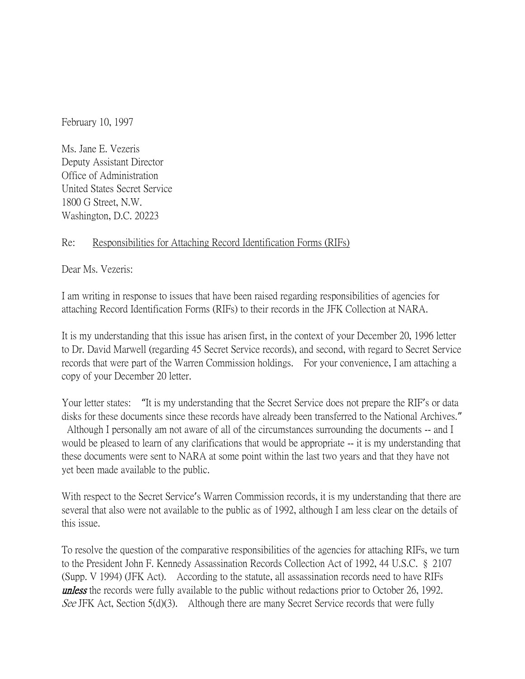February 10, 1997

Ms. Jane E. Vezeris Deputy Assistant Director Office of Administration United States Secret Service 1800 G Street, N.W. Washington, D.C. 20223

## Re: Responsibilities for Attaching Record Identification Forms (RIFs)

Dear Ms. Vezeris:

I am writing in response to issues that have been raised regarding responsibilities of agencies for attaching Record Identification Forms (RIFs) to their records in the JFK Collection at NARA.

It is my understanding that this issue has arisen first, in the context of your December 20, 1996 letter to Dr. David Marwell (regarding 45 Secret Service records), and second, with regard to Secret Service records that were part of the Warren Commission holdings. For your convenience, I am attaching a copy of your December 20 letter.

Your letter states: "It is my understanding that the Secret Service does not prepare the RIF's or data disks for these documents since these records have already been transferred to the National Archives." Although I personally am not aware of all of the circumstances surrounding the documents -- and I would be pleased to learn of any clarifications that would be appropriate -- it is my understanding that these documents were sent to NARA at some point within the last two years and that they have not yet been made available to the public.

With respect to the Secret Service's Warren Commission records, it is my understanding that there are several that also were not available to the public as of 1992, although I am less clear on the details of this issue.

To resolve the question of the comparative responsibilities of the agencies for attaching RIFs, we turn to the President John F. Kennedy Assassination Records Collection Act of 1992, 44 U.S.C. § 2107 (Supp. V 1994) (JFK Act). According to the statute, all assassination records need to have RIFs **unless** the records were fully available to the public without redactions prior to October 26, 1992. See JFK Act, Section 5(d)(3). Although there are many Secret Service records that were fully